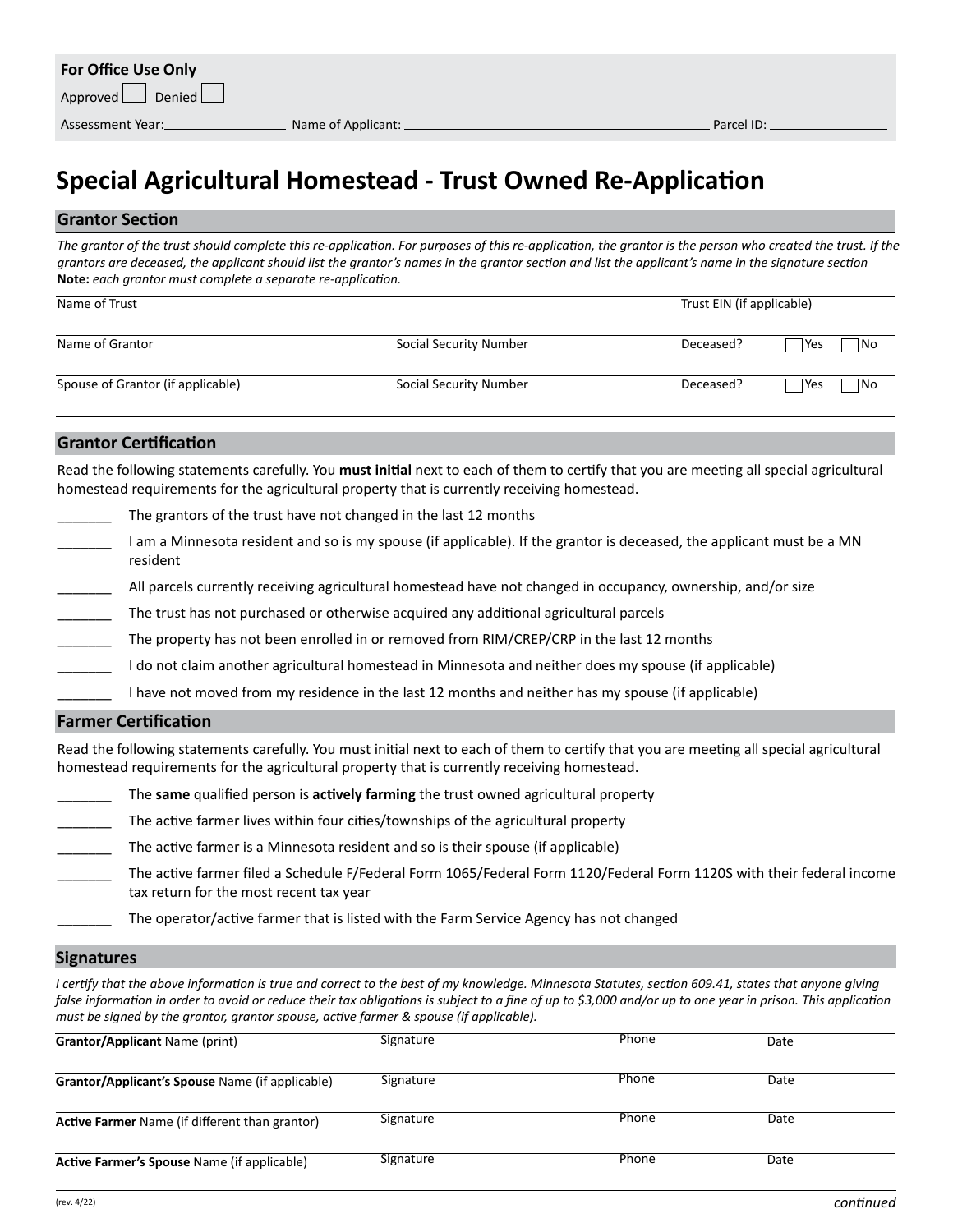### **Special Agricultural Homestead - Trust Owned Re-Application**

#### **Grantor Section**

The grantor of the trust should complete this re-application. For purposes of this re-application, the grantor is the person who created the trust. If the *grantors are deceased, the applicant should list the grantor's names in the grantor section and list the applicant's name in the signature section*  **Note:** *each grantor must complete a separate re-application.*

| Name of Trust                     |                        | Trust EIN (if applicable) |             |  |
|-----------------------------------|------------------------|---------------------------|-------------|--|
| Name of Grantor                   | Social Security Number | Deceased?                 | No<br>Yes   |  |
| Spouse of Grantor (if applicable) | Social Security Number | Deceased?                 | l No<br>Yes |  |

### **Grantor Certification**

Read the following statements carefully. You **must initial** next to each of them to certify that you are meeting all special agricultural homestead requirements for the agricultural property that is currently receiving homestead.

|  | The grantors of the trust have not changed in the last 12 months |
|--|------------------------------------------------------------------|
|  |                                                                  |

- \_\_\_\_\_\_\_ I am a Minnesota resident and so is my spouse (if applicable). If the grantor is deceased, the applicant must be a MN resident
- All parcels currently receiving agricultural homestead have not changed in occupancy, ownership, and/or size
- The trust has not purchased or otherwise acquired any additional agricultural parcels
- The property has not been enrolled in or removed from RIM/CREP/CRP in the last 12 months
- I do not claim another agricultural homestead in Minnesota and neither does my spouse (if applicable)
	- I have not moved from my residence in the last 12 months and neither has my spouse (if applicable)

#### **Farmer Certification**

Read the following statements carefully. You must initial next to each of them to certify that you are meeting all special agricultural homestead requirements for the agricultural property that is currently receiving homestead.

- \_\_\_\_\_\_\_ The **same** qualified person is **actively farming** the trust owned agricultural property
- The active farmer lives within four cities/townships of the agricultural property
- The active farmer is a Minnesota resident and so is their spouse (if applicable)
- The active farmer filed a Schedule F/Federal Form 1065/Federal Form 1120/Federal Form 1120S with their federal income tax return for the most recent tax year
	- \_\_\_\_\_\_\_ The operator/active farmer that is listed with the Farm Service Agency has not changed

#### **Signatures**

*I certify that the above information is true and correct to the best of my knowledge. Minnesota Statutes, section 609.41, states that anyone giving*  false information in order to avoid or reduce their tax obligations is subject to a fine of up to \$3,000 and/or up to one year in prison. This application *must be signed by the grantor, grantor spouse, active farmer & spouse (if applicable).*

| <b>Grantor/Applicant Name (print)</b>                 | Signature | Phone | Date |  |
|-------------------------------------------------------|-----------|-------|------|--|
| Grantor/Applicant's Spouse Name (if applicable)       | Signature | Phone | Date |  |
| <b>Active Farmer</b> Name (if different than grantor) | Signature | Phone | Date |  |
| Active Farmer's Spouse Name (if applicable)           | Signature | Phone | Date |  |